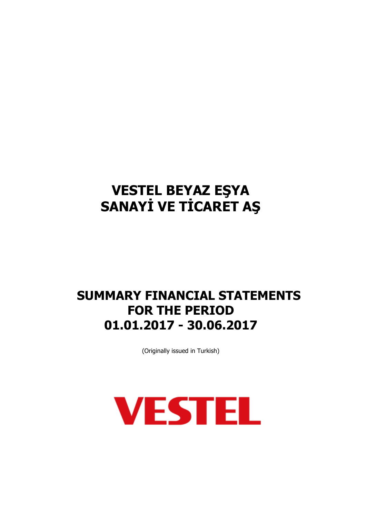## **SUMMARY FINANCIAL STATEMENTS FOR THE PERIOD 01.01.2017 - 30.06.2017**

(Originally issued in Turkish)

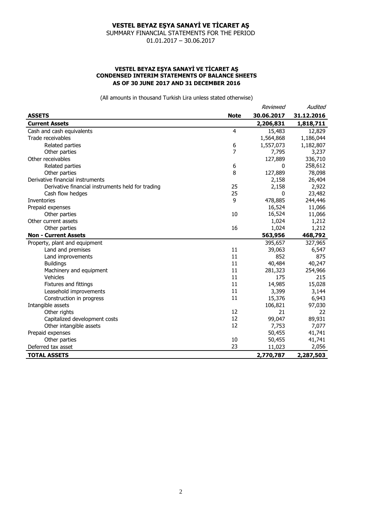SUMMARY FINANCIAL STATEMENTS FOR THE PERIOD 01.01.2017 – 30.06.2017

#### **VESTEL BEYAZ EŞYA SANAYİ VE TİCARET AŞ CONDENSED INTERIM STATEMENTS OF BALANCE SHEETS AS OF 30 JUNE 2017 AND 31 DECEMBER 2016**

|                                                   |             | Reviewed     | Audited    |
|---------------------------------------------------|-------------|--------------|------------|
| <b>ASSETS</b>                                     | <b>Note</b> | 30.06.2017   | 31.12.2016 |
| <b>Current Assets</b>                             |             | 2,206,831    | 1,818,711  |
| Cash and cash equivalents                         | 4           | 15,483       | 12,829     |
| Trade receivables                                 |             | 1,564,868    | 1,186,044  |
| Related parties                                   | 6           | 1,557,073    | 1,182,807  |
| Other parties                                     | 7           | 7,795        | 3,237      |
| Other receivables                                 |             | 127,889      | 336,710    |
| Related parties                                   | 6           | $\Omega$     | 258,612    |
| Other parties                                     | 8           | 127,889      | 78,098     |
| Derivative financial instruments                  |             | 2,158        | 26,404     |
| Derivative financial instruments held for trading | 25          | 2,158        | 2,922      |
| Cash flow hedges                                  | 25          | $\mathbf{0}$ | 23,482     |
| Inventories                                       | 9           | 478,885      | 244,446    |
| Prepaid expenses                                  |             | 16,524       | 11,066     |
| Other parties                                     | 10          | 16,524       | 11,066     |
| Other current assets                              |             | 1,024        | 1,212      |
| Other parties                                     | 16          | 1,024        | 1,212      |
| <b>Non - Current Assets</b>                       |             | 563,956      | 468,792    |
| Property, plant and equipment                     |             | 395,657      | 327,965    |
| Land and premises                                 | 11          | 39,063       | 6,547      |
| Land improvements                                 | 11          | 852          | 875        |
| <b>Buildings</b>                                  | 11          | 40,484       | 40,247     |
| Machinery and equipment                           | 11          | 281,323      | 254,966    |
| Vehicles                                          | 11          | 175          | 215        |
| Fixtures and fittings                             | 11          | 14,985       | 15,028     |
| Leasehold improvements                            | 11          | 3,399        | 3,144      |
| Construction in progress                          | 11          | 15,376       | 6,943      |
| Intangible assets                                 |             | 106,821      | 97,030     |
| Other rights                                      | 12          | 21           | 22         |
| Capitalized development costs                     | 12          | 99,047       | 89,931     |
| Other intangible assets                           | 12          | 7,753        | 7,077      |
| Prepaid expenses                                  |             | 50,455       | 41,741     |
| Other parties                                     | 10          | 50,455       | 41,741     |
| Deferred tax asset                                | 23          | 11,023       | 2,056      |
| <b>TOTAL ASSETS</b>                               |             | 2,770,787    | 2,287,503  |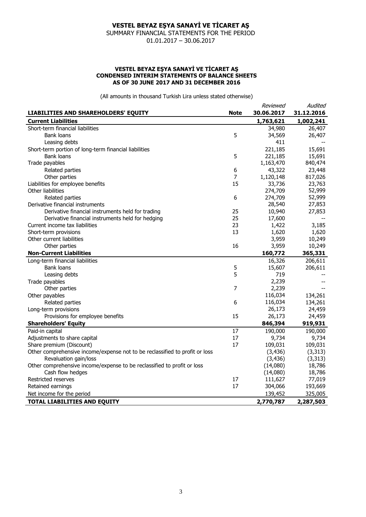SUMMARY FINANCIAL STATEMENTS FOR THE PERIOD 01.01.2017 – 30.06.2017

#### **VESTEL BEYAZ EŞYA SANAYİ VE TİCARET AŞ CONDENSED INTERIM STATEMENTS OF BALANCE SHEETS AS OF 30 JUNE 2017 AND 31 DECEMBER 2016**

|                                                                             |             | Reviewed   | Audited    |
|-----------------------------------------------------------------------------|-------------|------------|------------|
| LIABILITIES AND SHAREHOLDERS' EQUITY                                        | <b>Note</b> | 30.06.2017 | 31.12.2016 |
| <b>Current Liabilities</b>                                                  |             | 1,763,621  | 1,002,241  |
| Short-term financial liabilities                                            |             | 34,980     | 26,407     |
| <b>Bank loans</b>                                                           | 5           | 34,569     | 26,407     |
| Leasing debts                                                               |             | 411        |            |
| Short-term portion of long-term financial liabilities                       |             | 221,185    | 15,691     |
| <b>Bank loans</b>                                                           | 5           | 221,185    | 15,691     |
| Trade payables                                                              |             | 1,163,470  | 840,474    |
| Related parties                                                             | 6           | 43,322     | 23,448     |
| Other parties                                                               | 7           | 1,120,148  | 817,026    |
| Liabilities for employee benefits                                           | 15          | 33,736     | 23,763     |
| Other liabilities                                                           |             | 274,709    | 52,999     |
| Related parties                                                             | 6           | 274,709    | 52,999     |
| Derivative financial instruments                                            |             | 28,540     | 27,853     |
| Derivative financial instruments held for trading                           | 25          | 10,940     | 27,853     |
| Derivative financial instruments held for hedging                           | 25          | 17,600     |            |
| Current income tax liabilities                                              | 23          | 1,422      | 3,185      |
| Short-term provisions                                                       | 13          | 1,620      | 1,620      |
| Other current liabilities                                                   |             | 3,959      | 10,249     |
| Other parties                                                               | 16          | 3,959      | 10,249     |
| <b>Non-Current Liabilities</b>                                              |             | 160,772    | 365,331    |
| Long-term financial liabilities                                             |             | 16,326     | 206,611    |
| <b>Bank loans</b>                                                           | 5           | 15,607     | 206,611    |
| Leasing debts                                                               | 5           | 719        |            |
| Trade payables                                                              |             | 2,239      |            |
| Other parties                                                               | 7           | 2,239      |            |
| Other payables                                                              |             | 116,034    | 134,261    |
| Related parties                                                             | 6           | 116,034    | 134,261    |
| Long-term provisions                                                        |             | 26,173     | 24,459     |
| Provisions for employee benefits                                            | 15          | 26,173     | 24,459     |
| <b>Shareholders' Equity</b>                                                 |             | 846,394    | 919,931    |
| Paid-in capital                                                             | 17          | 190,000    | 190,000    |
| Adjustments to share capital                                                | 17          | 9,734      | 9,734      |
| Share premium (Discount)                                                    | 17          | 109,031    | 109,031    |
| Other comprehensive income/expense not to be reclassified to profit or loss |             | (3, 436)   | (3, 313)   |
| Revaluation gain/loss                                                       |             | (3,436)    | (3, 313)   |
| Other comprehensive income/expense to be reclassified to profit or loss     |             | (14,080)   | 18,786     |
| Cash flow hedges                                                            |             | (14,080)   | 18,786     |
| Restricted reserves                                                         | 17          | 111,627    | 77,019     |
| Retained earnings                                                           | 17          | 304,066    | 193,669    |
| Net income for the period                                                   |             | 139,452    | 325,005    |
| <b>TOTAL LIABILITIES AND EQUITY</b>                                         |             | 2,770,787  | 2,287,503  |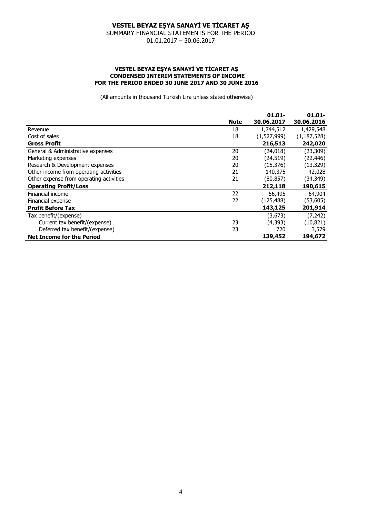SUMMARY FINANCIAL STATEMENTS FOR THE PERIOD 01.01.2017 – 30.06.2017

#### **VESTEL BEYAZ EŞYA SANAYİ VE TİCARET AŞ CONDENSED INTERIM STATEMENTS OF INCOME FOR THE PERIOD ENDED 30 JUNE 2017 AND 30 JUNE 2016**

|                                         |             | $01.01 -$   | $01.01 -$     |
|-----------------------------------------|-------------|-------------|---------------|
|                                         | <b>Note</b> | 30.06.2017  | 30.06.2016    |
| Revenue                                 | 18          | 1,744,512   | 1,429,548     |
| Cost of sales                           | 18          | (1,527,999) | (1, 187, 528) |
| <b>Gross Profit</b>                     |             | 216,513     | 242,020       |
| General & Administrative expenses       | 20          | (24, 018)   | (23, 309)     |
| Marketing expenses                      | 20          | (24, 519)   | (22, 446)     |
| Research & Development expenses         | 20          | (15, 376)   | (13, 329)     |
| Other income from operating activities  | 21          | 140,375     | 42,028        |
| Other expense from operating activities | 21          | (80, 857)   | (34,349)      |
| <b>Operating Profit/Loss</b>            |             | 212,118     | 190,615       |
| Financial income                        | 22          | 56,495      | 64,904        |
| Financial expense                       | 22          | (125, 488)  | (53,605)      |
| <b>Profit Before Tax</b>                |             | 143,125     | 201,914       |
| Tax benefit/(expense)                   |             | (3, 673)    | (7, 242)      |
| Current tax benefit/(expense)           | 23          | (4, 393)    | (10, 821)     |
| Deferred tax benefit/(expense)          | 23          | 720         | 3,579         |
| <b>Net Income for the Period</b>        |             | 139,452     | 194,672       |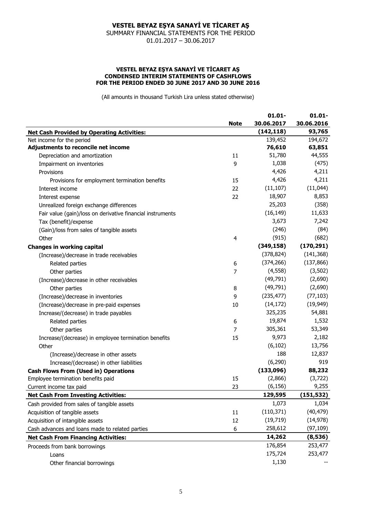SUMMARY FINANCIAL STATEMENTS FOR THE PERIOD 01.01.2017 – 30.06.2017

#### **VESTEL BEYAZ EŞYA SANAYİ VE TİCARET AŞ CONDENSED INTERIM STATEMENTS OF CASHFLOWS FOR THE PERIOD ENDED 30 JUNE 2017 AND 30 JUNE 2016**

|                                                            | <b>Note</b> | $01.01 -$<br>30.06.2017 | $01.01 -$<br>30.06.2016 |
|------------------------------------------------------------|-------------|-------------------------|-------------------------|
|                                                            |             |                         |                         |
| <b>Net Cash Provided by Operating Activities:</b>          |             | (142, 118)              | 93,765                  |
| Net income for the period                                  |             | 139,452                 | 194,672                 |
| Adjustments to reconcile net income                        |             | 76,610                  | 63,851                  |
| Depreciation and amortization                              | 11          | 51,780                  | 44,555                  |
| Impairment on inventories                                  | 9           | 1,038                   | (475)                   |
| Provisions                                                 |             | 4,426                   | 4,211                   |
| Provisions for employment termination benefits             | 15          | 4,426                   | 4,211                   |
| Interest income                                            | 22          | (11, 107)               | (11, 044)               |
| Interest expense                                           | 22          | 18,907                  | 8,853                   |
| Unrealized foreign exchange differences                    |             | 25,203                  | (358)                   |
| Fair value (gain)/loss on derivative financial instruments |             | (16, 149)               | 11,633                  |
| Tax (benefit)/expense                                      |             | 3,673                   | 7,242                   |
| (Gain)/loss from sales of tangible assets                  |             | (246)                   | (84)                    |
| Other                                                      | 4           | (915)                   | (682)                   |
| <b>Changes in working capital</b>                          |             | (349, 158)              | (170, 291)              |
| (Increase)/decrease in trade receivables                   |             | (378, 824)              | (141, 368)              |
| Related parties                                            | 6           | (374, 266)              | (137, 866)              |
| Other parties                                              | 7           | (4, 558)                | (3, 502)                |
| (Increase)/decrease in other receivables                   |             | (49, 791)               | (2,690)                 |
| Other parties                                              | 8           | (49, 791)               | (2,690)                 |
| (Increase)/decrease in inventories                         | 9           | (235, 477)              | (77, 103)               |
| (Increase)/decrease in pre-paid expenses                   | 10          | (14, 172)               | (19, 949)               |
| Increase/(decrease) in trade payables                      |             | 325,235                 | 54,881                  |
| Related parties                                            | 6           | 19,874                  | 1,532                   |
| Other parties                                              | 7           | 305,361                 | 53,349                  |
| Increase/(decrease) in employee termination benefits       | 15          | 9,973                   | 2,182                   |
| Other                                                      |             | (6, 102)                | 13,756                  |
| (Increase)/decrease in other assets                        |             | 188                     | 12,837                  |
| Increase/(decrease) in other liabilities                   |             | (6, 290)                | 919                     |
| <b>Cash Flows From (Used in) Operations</b>                |             | (133,096)               | 88,232                  |
| Employee termination benefits paid                         | 15          | (2,866)                 | (3, 722)                |
| Current income tax paid                                    | 23          | (6, 156)                | 9,255                   |
| <b>Net Cash From Investing Activities:</b>                 |             | 129,595                 | (151, 532)              |
| Cash provided from sales of tangible assets                |             | 1,073                   | 1,034                   |
| Acquisition of tangible assets                             | 11          | (110, 371)              | (40, 479)               |
| Acquisition of intangible assets                           | 12          | (19, 719)               | (14, 978)               |
| Cash advances and loans made to related parties            | 6           | 258,612                 | (97, 109)               |
| <b>Net Cash From Financing Activities:</b>                 |             | 14,262                  | (8, 536)                |
| Proceeds from bank borrowings                              |             | 176,854                 | 253,477                 |
| Loans                                                      |             | 175,724                 | 253,477                 |
| Other financial borrowings                                 |             | 1,130                   |                         |